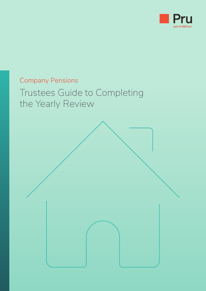

# Company Pensions Trustees Guide to Completing the Yearly Review

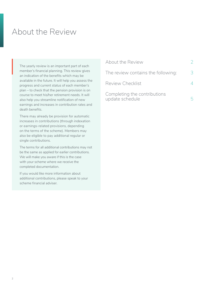### About the Review

The yearly review is an important part of each member's financial planning. This review gives an indication of the benefits which may be available in the future. It will help you assess the progress and current status of each member's plan – to check that the pension provision is on course to meet his/her retirement needs. It will also help you streamline notification of new earnings and increases in contribution rates and death benefits. The<br>me<br>32

There may already be provision for automatic increases in contributions (through indexation or earnings-related provisions, depending on the terms of the scheme). Members may also be eligible to pay additional regular or single contributions.

The terms for all additional contributions may not be the same as applied for earlier contributions. We will make you aware if this is the case with your scheme where we receive the completed documentation.

If you would like more information about additional contributions, please speak to your scheme financial adviser.

| About the Review                                |   |
|-------------------------------------------------|---|
| The review contains the following:              | 3 |
| <b>Review Checklist</b>                         | 4 |
| Completing the contributions<br>update schedule |   |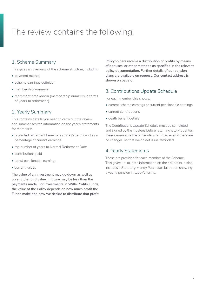## <span id="page-2-0"></span>The review contains the following:

### 1. Scheme Summary

This gives an overview of the scheme structure, including:

- payment method
- scheme earnings definition
- membership summary
- retirement breakdown (membership numbers in terms of years to retirement)

### 2. Yearly Summary

This contains details you need to carry out the review and summarises the information on the yearly statements for members:

- projected retirement benefits, in today's terms and as a percentage of current earnings
- the number of years to Normal Retirement Date
- contributions paid
- latest pensionable earnings
- current values

**The value of an investment may go down as well as up and the fund value in future may be less than the payments made. For investments in With-Profits Funds, the value of the Policy depends on how much profit the Funds make and how we decide to distribute that profit.** **Policyholders receive a distribution of profits by means of bonuses, or other methods as specified in the relevant policy documentation. Further details of our pension plans are available on request. Our contact address is shown on page 6.**

### 3. Contributions Update Schedule

For each member this shows:

- current scheme earnings or current pensionable earnings
- current contributions
- death benefit details

The Contributions Update Schedule must be completed and signed by the Trustees before returning it to Prudential. Please make sure the Schedule is returned even if there are no changes, so that we do not issue reminders.

#### 4. Yearly Statements

These are provided for each member of the Scheme. This gives up-to-date information on their benefits. It also includes a Statutory Money Purchase illustration showing a yearly pension in today's terms.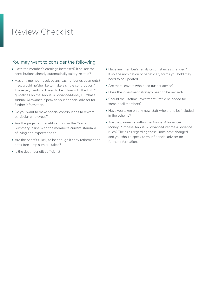## <span id="page-3-0"></span>Review Checklist

### You may want to consider the following:

- Have the member's earnings increased? If so, are the contributions already automatically salary-related?
- Has any member received any cash or bonus payments? If so, would he/she like to make a single contribution? These payments will need to be in line with the HMRC guidelines on the Annual Allowance/Money Purchase Annual Allowance. Speak to your financial adviser for further information.
- Do you want to make special contributions to reward particular employees?
- Are the projected benefits shown in the Yearly Summary in line with the member's current standard of living and expectations?
- Are the benefits likely to be enough if early retirement or a tax free lump sum are taken?
- Is the death benefit sufficient?
- Have any member's family circumstances changed? If so, the nomination of beneficiary forms you hold may need to be updated.
- Are there leavers who need further advice?
- Does the investment strategy need to be revised?
- Should the Lifetime Investment Profile be added for some or all members?
- Have you taken on any new staff who are to be included in the scheme?
- Are the payments within the Annual Allowance/ Money Purchase Annual Allowance/Lifetime Allowance rules? The rules regarding these limits have changed and you should speak to your financial adviser for further information.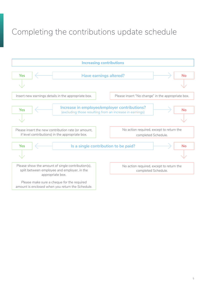# <span id="page-4-0"></span>Completing the contributions update schedule

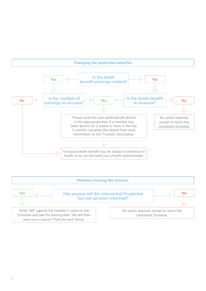#### **Changing the protection benefits:** Please write the new death benefit details in the appropriate box. If a member has been absent for 2 weeks or more in the last 2 months, complete the absent from work information on the Trustees' Declaration. No action required, except to return the completed Schedule. Increased death benefit may be subject to evidence of health. If so, we will send you a health questionnaire. health. If so, we will send you a health questionnaire. **Yes Yes No** No<br> **No earnings to increase?**<br>
<br> **No earnings to increase? Is the death benefit earnings-related? Is the multiple of Is the death benefit to increase?**  $\begin{array}{|c|c|c|}\n\hline\n\text{Yes} & \text{ls the death} \\\hline\n\text{beneff earnings-related?} & \text{No} \\\hline\n\end{array}$ I < [ f > l J, I< [ f >.----[ J,---,1

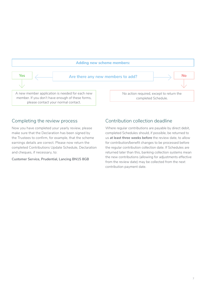

### Completing the review process

Now you have completed your yearly review, please make sure that the Declaration has been signed by the Trustees to confirm, for example, that the scheme earnings details are correct. Please now return the completed Contributions Update Schedule, Declaration and cheques, if necessary, to:

**Customer Service, Prudential, Lancing BN15 8GB**

### Contribution collection deadline

Where regular contributions are payable by direct debit, completed Schedules should, if possible, be returned to us **at least three weeks before** the review date, to allow for contribution/benefit changes to be processed before the regular contribution collection date. If Schedules are returned later than this, banking collection systems mean the new contributions (allowing for adjustments effective from the review date) may be collected from the next contribution payment date.